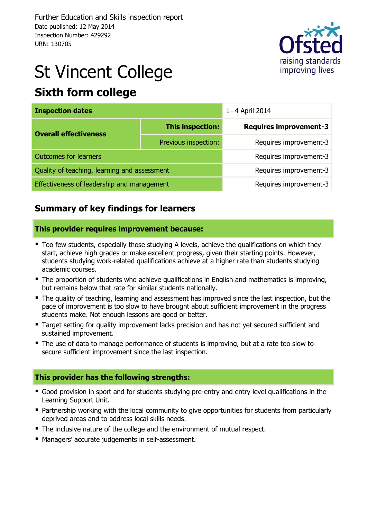

# St Vincent College

# **Sixth form college**

| <b>Inspection dates</b>                      |                        | 1-4 April 2014                |  |  |  |
|----------------------------------------------|------------------------|-------------------------------|--|--|--|
| <b>Overall effectiveness</b>                 | This inspection:       | <b>Requires improvement-3</b> |  |  |  |
|                                              | Previous inspection:   | Requires improvement-3        |  |  |  |
| <b>Outcomes for learners</b>                 | Requires improvement-3 |                               |  |  |  |
| Quality of teaching, learning and assessment | Requires improvement-3 |                               |  |  |  |
| Effectiveness of leadership and management   | Requires improvement-3 |                               |  |  |  |

# **Summary of key findings for learners**

#### **This provider requires improvement because:**

- Too few students, especially those studying A levels, achieve the qualifications on which they start, achieve high grades or make excellent progress, given their starting points. However, students studying work-related qualifications achieve at a higher rate than students studying academic courses.
- The proportion of students who achieve qualifications in English and mathematics is improving, but remains below that rate for similar students nationally.
- The quality of teaching, learning and assessment has improved since the last inspection, but the pace of improvement is too slow to have brought about sufficient improvement in the progress students make. Not enough lessons are good or better.
- Target setting for quality improvement lacks precision and has not yet secured sufficient and sustained improvement.
- The use of data to manage performance of students is improving, but at a rate too slow to secure sufficient improvement since the last inspection.

#### **This provider has the following strengths:**

- Good provision in sport and for students studying pre-entry and entry level qualifications in the Learning Support Unit.
- Partnership working with the local community to give opportunities for students from particularly deprived areas and to address local skills needs.
- The inclusive nature of the college and the environment of mutual respect.
- Managers' accurate judgements in self-assessment.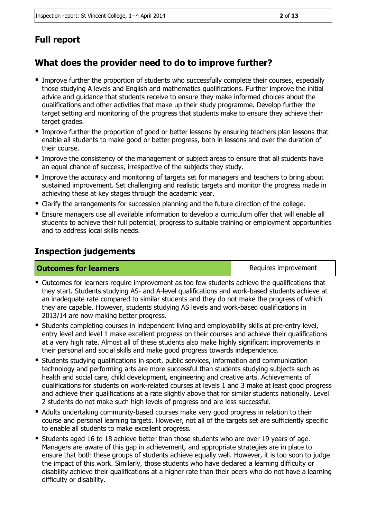# **Full report**

# **What does the provider need to do to improve further?**

- Improve further the proportion of students who successfully complete their courses, especially those studying A levels and English and mathematics qualifications. Further improve the initial advice and guidance that students receive to ensure they make informed choices about the qualifications and other activities that make up their study programme. Develop further the target setting and monitoring of the progress that students make to ensure they achieve their target grades.
- **IMPROVE THE PROPORTION IS 2000 THE ASSES** Integrals of the proportion of qood or better lessons that integrals and that enable all students to make good or better progress, both in lessons and over the duration of their course.
- Improve the consistency of the management of subject areas to ensure that all students have an equal chance of success, irrespective of the subjects they study.
- **Improve the accuracy and monitoring of targets set for managers and teachers to bring about** sustained improvement. Set challenging and realistic targets and monitor the progress made in achieving these at key stages through the academic year.
- Clarify the arrangements for succession planning and the future direction of the college.
- Ensure managers use all available information to develop a curriculum offer that will enable all students to achieve their full potential, progress to suitable training or employment opportunities and to address local skills needs.

## **Inspection judgements**

**Outcomes for learners Requires improvement Requires improvement** 

- Outcomes for learners require improvement as too few students achieve the qualifications that they start. Students studying AS- and A-level qualifications and work-based students achieve at an inadequate rate compared to similar students and they do not make the progress of which they are capable. However, students studying AS levels and work-based qualifications in 2013/14 are now making better progress.
- Students completing courses in independent living and employability skills at pre-entry level, entry level and level 1 make excellent progress on their courses and achieve their qualifications at a very high rate. Almost all of these students also make highly significant improvements in their personal and social skills and make good progress towards independence.
- Students studying qualifications in sport, public services, information and communication technology and performing arts are more successful than students studying subjects such as health and social care, child development, engineering and creative arts. Achievements of qualifications for students on work-related courses at levels 1 and 3 make at least good progress and achieve their qualifications at a rate slightly above that for similar students nationally. Level 2 students do not make such high levels of progress and are less successful.
- Adults undertaking community-based courses make very good progress in relation to their course and personal learning targets. However, not all of the targets set are sufficiently specific to enable all students to make excellent progress.
- Students aged 16 to 18 achieve better than those students who are over 19 years of age. Managers are aware of this gap in achievement, and appropriate strategies are in place to ensure that both these groups of students achieve equally well. However, it is too soon to judge the impact of this work. Similarly, those students who have declared a learning difficulty or disability achieve their qualifications at a higher rate than their peers who do not have a learning difficulty or disability.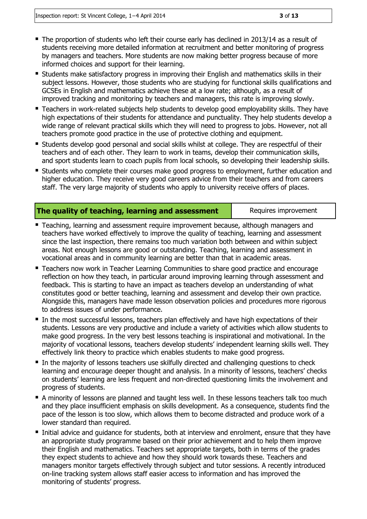- $\blacksquare$  The proportion of students who left their course early has declined in 2013/14 as a result of students receiving more detailed information at recruitment and better monitoring of progress by managers and teachers. More students are now making better progress because of more informed choices and support for their learning.
- Students make satisfactory progress in improving their English and mathematics skills in their subject lessons. However, those students who are studying for functional skills qualifications and GCSEs in English and mathematics achieve these at a low rate; although, as a result of improved tracking and monitoring by teachers and managers, this rate is improving slowly.
- **Teachers in work-related subjects help students to develop good employability skills. They have** high expectations of their students for attendance and punctuality. They help students develop a wide range of relevant practical skills which they will need to progress to jobs. However, not all teachers promote good practice in the use of protective clothing and equipment.
- Students develop good personal and social skills whilst at college. They are respectful of their teachers and of each other. They learn to work in teams, develop their communication skills, and sport students learn to coach pupils from local schools, so developing their leadership skills.
- **Students who complete their courses make good progress to employment, further education and**  $\blacksquare$ higher education. They receive very good careers advice from their teachers and from careers staff. The very large majority of students who apply to university receive offers of places.

#### **The quality of teaching, learning and assessment** Requires improvement

- **Teaching, learning and assessment require improvement because, although managers and** teachers have worked effectively to improve the quality of teaching, learning and assessment since the last inspection, there remains too much variation both between and within subject areas. Not enough lessons are good or outstanding. Teaching, learning and assessment in vocational areas and in community learning are better than that in academic areas.
- Teachers now work in Teacher Learning Communities to share good practice and encourage reflection on how they teach, in particular around improving learning through assessment and feedback. This is starting to have an impact as teachers develop an understanding of what constitutes good or better teaching, learning and assessment and develop their own practice. Alongside this, managers have made lesson observation policies and procedures more rigorous to address issues of under performance.
- In the most successful lessons, teachers plan effectively and have high expectations of their students. Lessons are very productive and include a variety of activities which allow students to make good progress. In the very best lessons teaching is inspirational and motivational. In the majority of vocational lessons, teachers develop students' independent learning skills well. They effectively link theory to practice which enables students to make good progress.
- In the majority of lessons teachers use skilfully directed and challenging questions to check learning and encourage deeper thought and analysis. In a minority of lessons, teachers' checks on students' learning are less frequent and non-directed questioning limits the involvement and progress of students.
- A minority of lessons are planned and taught less well. In these lessons teachers talk too much and they place insufficient emphasis on skills development. As a consequence, students find the pace of the lesson is too slow, which allows them to become distracted and produce work of a lower standard than required.
- Initial advice and guidance for students, both at interview and enrolment, ensure that they have an appropriate study programme based on their prior achievement and to help them improve their English and mathematics. Teachers set appropriate targets, both in terms of the grades they expect students to achieve and how they should work towards these. Teachers and managers monitor targets effectively through subject and tutor sessions. A recently introduced on-line tracking system allows staff easier access to information and has improved the monitoring of students' progress.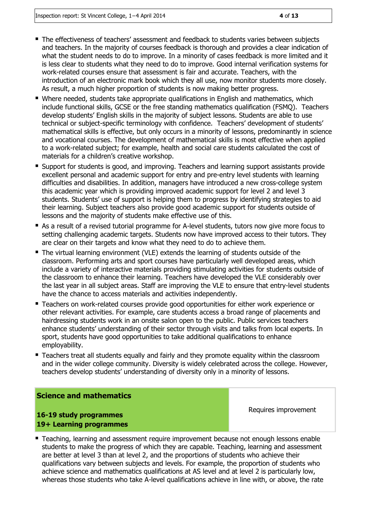- The effectiveness of teachers' assessment and feedback to students varies between subjects and teachers. In the majority of courses feedback is thorough and provides a clear indication of what the student needs to do to improve. In a minority of cases feedback is more limited and it is less clear to students what they need to do to improve. Good internal verification systems for work-related courses ensure that assessment is fair and accurate. Teachers, with the introduction of an electronic mark book which they all use, now monitor students more closely. As result, a much higher proportion of students is now making better progress.
- Where needed, students take appropriate qualifications in English and mathematics, which include functional skills, GCSE or the free standing mathematics qualification (FSMQ). Teachers develop students' English skills in the majority of subject lessons. Students are able to use technical or subject-specific terminology with confidence. Teachers' development of students' mathematical skills is effective, but only occurs in a minority of lessons, predominantly in science and vocational courses. The development of mathematical skills is most effective when applied to a work-related subject; for example, health and social care students calculated the cost of materials for a children's creative workshop.
- Support for students is good, and improving. Teachers and learning support assistants provide excellent personal and academic support for entry and pre-entry level students with learning difficulties and disabilities. In addition, managers have introduced a new cross-college system this academic year which is providing improved academic support for level 2 and level 3 students. Students' use of support is helping them to progress by identifying strategies to aid their learning. Subject teachers also provide good academic support for students outside of lessons and the majority of students make effective use of this.
- As a result of a revised tutorial programme for A-level students, tutors now give more focus to setting challenging academic targets. Students now have improved access to their tutors. They are clear on their targets and know what they need to do to achieve them.
- The virtual learning environment (VLE) extends the learning of students outside of the classroom. Performing arts and sport courses have particularly well developed areas, which include a variety of interactive materials providing stimulating activities for students outside of the classroom to enhance their learning. Teachers have developed the VLE considerably over the last year in all subject areas. Staff are improving the VLE to ensure that entry-level students have the chance to access materials and activities independently.
- Teachers on work-related courses provide good opportunities for either work experience or other relevant activities. For example, care students access a broad range of placements and hairdressing students work in an onsite salon open to the public. Public services teachers enhance students' understanding of their sector through visits and talks from local experts. In sport, students have good opportunities to take additional qualifications to enhance employability.
- **Teachers treat all students equally and fairly and they promote equality within the classroom** and in the wider college community. Diversity is widely celebrated across the college. However, teachers develop students' understanding of diversity only in a minority of lessons.

#### **Science and mathematics**

**16-19 study programmes 19+ Learning programmes** Requires improvement

**Teaching, learning and assessment require improvement because not enough lessons enable** students to make the progress of which they are capable. Teaching, learning and assessment are better at level 3 than at level 2, and the proportions of students who achieve their qualifications vary between subjects and levels. For example, the proportion of students who achieve science and mathematics qualifications at AS level and at level 2 is particularly low, whereas those students who take A-level qualifications achieve in line with, or above, the rate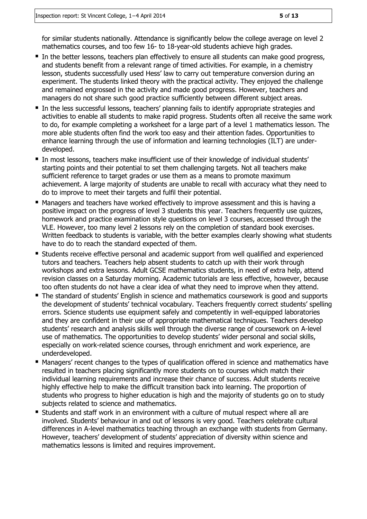for similar students nationally. Attendance is significantly below the college average on level 2 mathematics courses, and too few 16- to 18-year-old students achieve high grades.

- In the better lessons, teachers plan effectively to ensure all students can make good progress, and students benefit from a relevant range of timed activities. For example, in a chemistry lesson, students successfully used Hess' law to carry out temperature conversion during an experiment. The students linked theory with the practical activity. They enjoyed the challenge and remained engrossed in the activity and made good progress. However, teachers and managers do not share such good practice sufficiently between different subject areas.
- In the less successful lessons, teachers' planning fails to identify appropriate strategies and activities to enable all students to make rapid progress. Students often all receive the same work to do, for example completing a worksheet for a large part of a level 1 mathematics lesson. The more able students often find the work too easy and their attention fades. Opportunities to enhance learning through the use of information and learning technologies (ILT) are underdeveloped.
- In most lessons, teachers make insufficient use of their knowledge of individual students' starting points and their potential to set them challenging targets. Not all teachers make sufficient reference to target grades or use them as a means to promote maximum achievement. A large majority of students are unable to recall with accuracy what they need to do to improve to meet their targets and fulfil their potential.
- Managers and teachers have worked effectively to improve assessment and this is having a positive impact on the progress of level 3 students this year. Teachers frequently use quizzes, homework and practice examination style questions on level 3 courses, accessed through the VLE. However, too many level 2 lessons rely on the completion of standard book exercises. Written feedback to students is variable, with the better examples clearly showing what students have to do to reach the standard expected of them.
- **Students receive effective personal and academic support from well qualified and experienced** tutors and teachers. Teachers help absent students to catch up with their work through workshops and extra lessons. Adult GCSE mathematics students, in need of extra help, attend revision classes on a Saturday morning. Academic tutorials are less effective, however, because too often students do not have a clear idea of what they need to improve when they attend.
- The standard of students' English in science and mathematics coursework is good and supports the development of students' technical vocabulary. Teachers frequently correct students' spelling errors. Science students use equipment safely and competently in well-equipped laboratories and they are confident in their use of appropriate mathematical techniques. Teachers develop students' research and analysis skills well through the diverse range of coursework on A-level use of mathematics. The opportunities to develop students' wider personal and social skills, especially on work-related science courses, through enrichment and work experience, are underdeveloped.
- Managers' recent changes to the types of qualification offered in science and mathematics have resulted in teachers placing significantly more students on to courses which match their individual learning requirements and increase their chance of success. Adult students receive highly effective help to make the difficult transition back into learning. The proportion of students who progress to higher education is high and the majority of students go on to study subjects related to science and mathematics.
- Students and staff work in an environment with a culture of mutual respect where all are involved. Students' behaviour in and out of lessons is very good. Teachers celebrate cultural differences in A-level mathematics teaching through an exchange with students from Germany. However, teachers' development of students' appreciation of diversity within science and mathematics lessons is limited and requires improvement.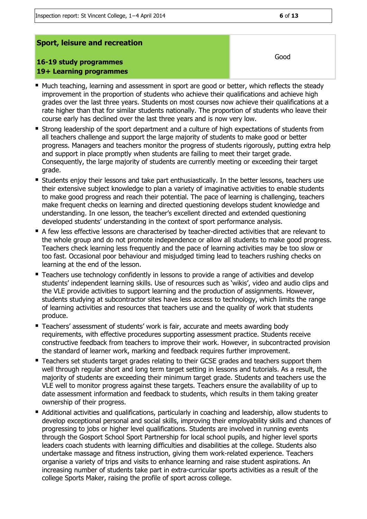#### **Sport, leisure and recreation**

#### **16-19 study programmes 19+ Learning programmes**

- **Much teaching, learning and assessment in sport are good or better, which reflects the steady** improvement in the proportion of students who achieve their qualifications and achieve high grades over the last three years. Students on most courses now achieve their qualifications at a rate higher than that for similar students nationally. The proportion of students who leave their course early has declined over the last three years and is now very low.
- **Strong leadership of the sport department and a culture of high expectations of students from** all teachers challenge and support the large majority of students to make good or better progress. Managers and teachers monitor the progress of students rigorously, putting extra help and support in place promptly when students are failing to meet their target grade. Consequently, the large majority of students are currently meeting or exceeding their target grade.
- **Students enjoy their lessons and take part enthusiastically. In the better lessons, teachers use** their extensive subject knowledge to plan a variety of imaginative activities to enable students to make good progress and reach their potential. The pace of learning is challenging, teachers make frequent checks on learning and directed questioning develops student knowledge and understanding. In one lesson, the teacher's excellent directed and extended questioning developed students' understanding in the context of sport performance analysis.
- A few less effective lessons are characterised by teacher-directed activities that are relevant to the whole group and do not promote independence or allow all students to make good progress. Teachers check learning less frequently and the pace of learning activities may be too slow or too fast. Occasional poor behaviour and misjudged timing lead to teachers rushing checks on learning at the end of the lesson.
- Teachers use technology confidently in lessons to provide a range of activities and develop students' independent learning skills. Use of resources such as 'wikis', video and audio clips and the VLE provide activities to support learning and the production of assignments. However, students studying at subcontractor sites have less access to technology, which limits the range of learning activities and resources that teachers use and the quality of work that students produce.
- Teachers' assessment of students' work is fair, accurate and meets awarding body requirements, with effective procedures supporting assessment practice. Students receive constructive feedback from teachers to improve their work. However, in subcontracted provision the standard of learner work, marking and feedback requires further improvement.
- Teachers set students target grades relating to their GCSE grades and teachers support them well through regular short and long term target setting in lessons and tutorials. As a result, the majority of students are exceeding their minimum target grade. Students and teachers use the VLE well to monitor progress against these targets. Teachers ensure the availability of up to date assessment information and feedback to students, which results in them taking greater ownership of their progress.
- Additional activities and qualifications, particularly in coaching and leadership, allow students to develop exceptional personal and social skills, improving their employability skills and chances of progressing to jobs or higher level qualifications. Students are involved in running events through the Gosport School Sport Partnership for local school pupils, and higher level sports leaders coach students with learning difficulties and disabilities at the college. Students also undertake massage and fitness instruction, giving them work-related experience. Teachers organise a variety of trips and visits to enhance learning and raise student aspirations. An increasing number of students take part in extra-curricular sports activities as a result of the college Sports Maker, raising the profile of sport across college.

Good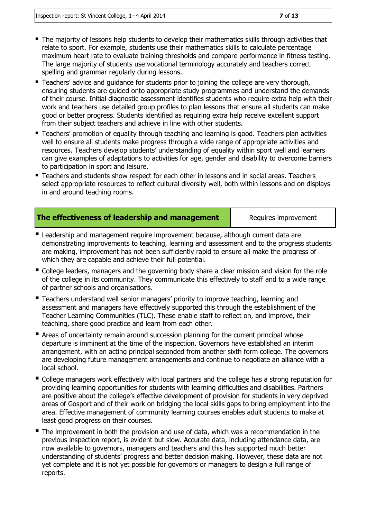- The majority of lessons help students to develop their mathematics skills through activities that relate to sport. For example, students use their mathematics skills to calculate percentage maximum heart rate to evaluate training thresholds and compare performance in fitness testing. The large majority of students use vocational terminology accurately and teachers correct spelling and grammar regularly during lessons.
- **Teachers' advice and quidance for students prior to joining the college are very thorough,** ensuring students are guided onto appropriate study programmes and understand the demands of their course. Initial diagnostic assessment identifies students who require extra help with their work and teachers use detailed group profiles to plan lessons that ensure all students can make good or better progress. Students identified as requiring extra help receive excellent support from their subject teachers and achieve in line with other students.
- **Teachers' promotion of equality through teaching and learning is good. Teachers plan activities** well to ensure all students make progress through a wide range of appropriate activities and resources. Teachers develop students' understanding of equality within sport well and learners can give examples of adaptations to activities for age, gender and disability to overcome barriers to participation in sport and leisure.
- Teachers and students show respect for each other in lessons and in social areas. Teachers select appropriate resources to reflect cultural diversity well, both within lessons and on displays in and around teaching rooms.

|  | The effectiveness of leadership and management |
|--|------------------------------------------------|
|  |                                                |

Requires improvement

- **Leadership and management require improvement because, although current data are** demonstrating improvements to teaching, learning and assessment and to the progress students are making, improvement has not been sufficiently rapid to ensure all make the progress of which they are capable and achieve their full potential.
- College leaders, managers and the governing body share a clear mission and vision for the role of the college in its community. They communicate this effectively to staff and to a wide range of partner schools and organisations.
- Teachers understand well senior managers' priority to improve teaching, learning an<sup>d</sup> assessment and managers have effectively supported this through the establishment of the Teacher Learning Communities (TLC). These enable staff to reflect on, and improve, their teaching, share good practice and learn from each other.
- Areas of uncertainty remain around succession planning for the current principal whose departure is imminent at the time of the inspection. Governors have established an interim arrangement, with an acting principal seconded from another sixth form college. The governors are developing future management arrangements and continue to negotiate an alliance with a local school.
- College managers work effectively with local partners and the college has a strong reputation for providing learning opportunities for students with learning difficulties and disabilities. Partners are positive about the college's effective development of provision for students in very deprived areas of Gosport and of their work on bridging the local skills gaps to bring employment into the area. Effective management of community learning courses enables adult students to make at least good progress on their courses.
- The improvement in both the provision and use of data, which was a recommendation in the previous inspection report, is evident but slow. Accurate data, including attendance data, are now available to governors, managers and teachers and this has supported much better understanding of students' progress and better decision making. However, these data are not yet complete and it is not yet possible for governors or managers to design a full range of reports.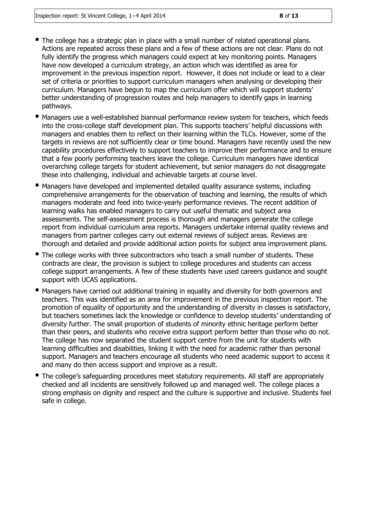- The college has a strategic plan in place with a small number of related operational plans. Actions are repeated across these plans and a few of these actions are not clear. Plans do not fully identify the progress which managers could expect at key monitoring points. Managers have now developed a curriculum strategy, an action which was identified as area for improvement in the previous inspection report. However, it does not include or lead to a clear set of criteria or priorities to support curriculum managers when analysing or developing their curriculum. Managers have begun to map the curriculum offer which will support students' better understanding of progression routes and help managers to identify gaps in learning pathways.
- Managers use a well-established biannual performance review system for teachers, which feeds into the cross-college staff development plan. This supports teachers' helpful discussions with managers and enables them to reflect on their learning within the TLCs. However, some of the targets in reviews are not sufficiently clear or time bound. Managers have recently used the new capability procedures effectively to support teachers to improve their performance and to ensure that a few poorly performing teachers leave the college. Curriculum managers have identical overarching college targets for student achievement, but senior managers do not disaggregate these into challenging, individual and achievable targets at course level.
- Managers have developed and implemented detailed quality assurance systems, including comprehensive arrangements for the observation of teaching and learning, the results of which managers moderate and feed into twice-yearly performance reviews. The recent addition of learning walks has enabled managers to carry out useful thematic and subject area assessments. The self-assessment process is thorough and managers generate the college report from individual curriculum area reports. Managers undertake internal quality reviews and managers from partner colleges carry out external reviews of subject areas. Reviews are thorough and detailed and provide additional action points for subject area improvement plans.
- The college works with three subcontractors who teach a small number of students. These contracts are clear, the provision is subject to college procedures and students can access college support arrangements. A few of these students have used careers guidance and sought support with UCAS applications.
- **Managers have carried out additional training in equality and diversity for both governors and** teachers. This was identified as an area for improvement in the previous inspection report. The promotion of equality of opportunity and the understanding of diversity in classes is satisfactory, but teachers sometimes lack the knowledge or confidence to develop students' understanding of diversity further. The small proportion of students of minority ethnic heritage perform better than their peers, and students who receive extra support perform better than those who do not. The college has now separated the student support centre from the unit for students with learning difficulties and disabilities, linking it with the need for academic rather than personal support. Managers and teachers encourage all students who need academic support to access it and many do then access support and improve as a result.
- The college's safeguarding procedures meet statutory requirements. All staff are appropriately checked and all incidents are sensitively followed up and managed well. The college places a strong emphasis on dignity and respect and the culture is supportive and inclusive. Students feel safe in college.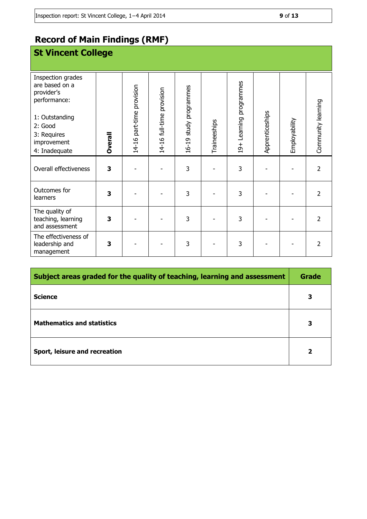# **Record of Main Findings (RMF)**

| <b>St Vincent College</b>                                         |                |                           |                           |                        |              |                         |                 |               |                    |
|-------------------------------------------------------------------|----------------|---------------------------|---------------------------|------------------------|--------------|-------------------------|-----------------|---------------|--------------------|
| Inspection grades<br>are based on a<br>provider's<br>performance: |                | 14-16 part-time provision |                           | 16-19 study programmes |              | 19+ Learning programmes |                 |               |                    |
| 1: Outstanding<br>2: Good                                         |                |                           |                           |                        |              |                         |                 |               |                    |
| 3: Requires<br>improvement<br>4: Inadequate                       | <b>Dverall</b> |                           | 14-16 full-time provision |                        | Traineeships |                         | Apprenticeships | Employability | Community learning |
| Overall effectiveness                                             | 3              |                           |                           | 3                      |              | 3                       |                 |               | $\overline{2}$     |
| Outcomes for<br>learners                                          | 3              |                           |                           | 3                      |              | 3                       |                 |               | $\overline{2}$     |
| The quality of<br>teaching, learning<br>and assessment            | 3              |                           |                           | 3                      |              | 3                       |                 |               | $\overline{2}$     |
| The effectiveness of<br>leadership and<br>management              | 3              |                           |                           | 3                      |              | 3                       |                 |               | $\overline{2}$     |

| Subject areas graded for the quality of teaching, learning and assessment |   |  |
|---------------------------------------------------------------------------|---|--|
| <b>Science</b>                                                            |   |  |
| <b>Mathematics and statistics</b>                                         | 3 |  |
| Sport, leisure and recreation                                             | 2 |  |

n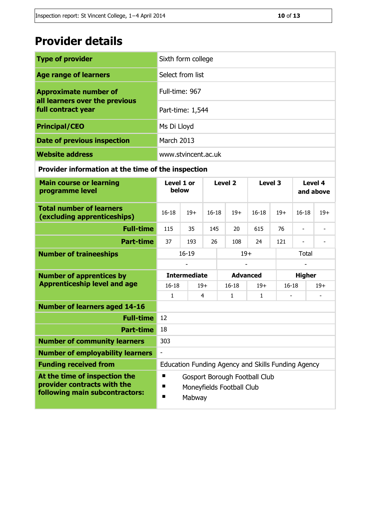# **Provider details**

| <b>Type of provider</b>                              | Sixth form college  |
|------------------------------------------------------|---------------------|
| <b>Age range of learners</b>                         | Select from list    |
| <b>Approximate number of</b>                         | Full-time: 967      |
| all learners over the previous<br>full contract year | Part-time: 1,544    |
| <b>Principal/CEO</b>                                 | Ms Di Lloyd         |
| <b>Date of previous inspection</b>                   | <b>March 2013</b>   |
| <b>Website address</b>                               | www.stvincent.ac.uk |

#### **Provider information at the time of the inspection**

| <b>Main course or learning</b><br>programme level                                              | Level 1 or<br>below                                                                 |                | Level <sub>2</sub> |                 | Level 3 |           | Level 4<br>and above |                          |       |  |
|------------------------------------------------------------------------------------------------|-------------------------------------------------------------------------------------|----------------|--------------------|-----------------|---------|-----------|----------------------|--------------------------|-------|--|
| <b>Total number of learners</b><br>(excluding apprenticeships)                                 | $16 - 18$                                                                           | $19+$          | $16 - 18$          |                 | $19+$   | $16 - 18$ | $19+$                | $16 - 18$                | $19+$ |  |
| <b>Full-time</b>                                                                               | 115                                                                                 | 35             | 145                |                 | 20      | 615       | 76                   | $\overline{\phantom{a}}$ |       |  |
| <b>Part-time</b>                                                                               | 37                                                                                  | 193            | 26                 |                 | 108     | 24        | 121                  | $\overline{\phantom{a}}$ |       |  |
| <b>Number of traineeships</b>                                                                  | $16 - 19$                                                                           |                |                    |                 | $19+$   |           |                      | Total                    |       |  |
|                                                                                                |                                                                                     |                |                    |                 |         |           |                      |                          |       |  |
| <b>Number of apprentices by</b>                                                                | <b>Intermediate</b>                                                                 |                |                    | <b>Advanced</b> |         |           |                      | <b>Higher</b>            |       |  |
| <b>Apprenticeship level and age</b>                                                            | $16 - 18$                                                                           | $19+$          |                    | $16 - 18$       |         | $19+$     | $16 - 18$            |                          | $19+$ |  |
|                                                                                                | 1.                                                                                  | $\overline{4}$ |                    | $\mathbf{1}$    |         | 1         |                      |                          |       |  |
| <b>Number of learners aged 14-16</b>                                                           |                                                                                     |                |                    |                 |         |           |                      |                          |       |  |
| <b>Full-time</b>                                                                               | 12                                                                                  |                |                    |                 |         |           |                      |                          |       |  |
| <b>Part-time</b>                                                                               | 18                                                                                  |                |                    |                 |         |           |                      |                          |       |  |
| <b>Number of community learners</b>                                                            | 303                                                                                 |                |                    |                 |         |           |                      |                          |       |  |
| <b>Number of employability learners</b>                                                        | $\overline{\phantom{a}}$                                                            |                |                    |                 |         |           |                      |                          |       |  |
| <b>Funding received from</b>                                                                   | Education Funding Agency and Skills Funding Agency                                  |                |                    |                 |         |           |                      |                          |       |  |
| At the time of inspection the<br>provider contracts with the<br>following main subcontractors: | П<br>Gosport Borough Football Club<br>п<br>Moneyfields Football Club<br>П<br>Mabway |                |                    |                 |         |           |                      |                          |       |  |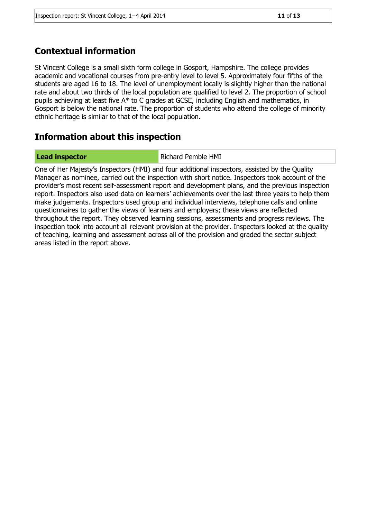### **Contextual information**

St Vincent College is a small sixth form college in Gosport, Hampshire. The college provides academic and vocational courses from pre-entry level to level 5. Approximately four fifths of the students are aged 16 to 18. The level of unemployment locally is slightly higher than the national rate and about two thirds of the local population are qualified to level 2. The proportion of school pupils achieving at least five A\* to C grades at GCSE, including English and mathematics, in Gosport is below the national rate. The proportion of students who attend the college of minority ethnic heritage is similar to that of the local population.

#### **Information about this inspection**

**Lead inspector Richard Pemble HMI** 

One of Her Majesty's Inspectors (HMI) and four additional inspectors, assisted by the Quality Manager as nominee, carried out the inspection with short notice. Inspectors took account of the provider's most recent self-assessment report and development plans, and the previous inspection report. Inspectors also used data on learners' achievements over the last three years to help them make judgements. Inspectors used group and individual interviews, telephone calls and online questionnaires to gather the views of learners and employers; these views are reflected throughout the report. They observed learning sessions, assessments and progress reviews. The inspection took into account all relevant provision at the provider. Inspectors looked at the quality of teaching, learning and assessment across all of the provision and graded the sector subject areas listed in the report above.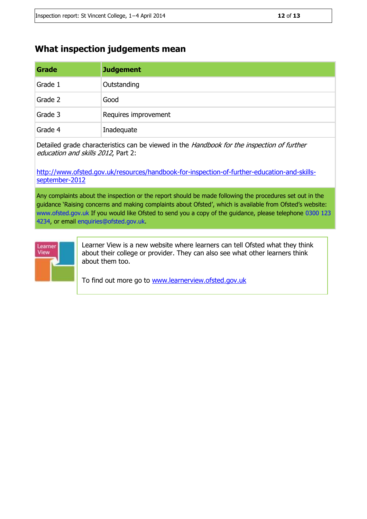#### **What inspection judgements mean**

| Grade   | <b>Judgement</b>     |
|---------|----------------------|
| Grade 1 | Outstanding          |
| Grade 2 | Good                 |
| Grade 3 | Requires improvement |
| Grade 4 | Inadequate           |

Detailed grade characteristics can be viewed in the Handbook for the inspection of further education and skills 2012, Part 2:

[http://www.ofsted.gov.uk/resources/handbook-for-inspection-of-further-education-and-skills](http://www.ofsted.gov.uk/resources/handbook-for-inspection-of-further-education-and-skills-september-2012)[september-2012](http://www.ofsted.gov.uk/resources/handbook-for-inspection-of-further-education-and-skills-september-2012)

Any complaints about the inspection or the report should be made following the procedures set out in the guidance 'Raising concerns and making complaints about Ofsted', which is available from Ofsted's website: www.ofsted.gov.uk If you would like Ofsted to send you a copy of the guidance, please telephone 0300 123 4234, or email enquiries@ofsted.gov.uk.



Learner View is a new website where learners can tell Ofsted what they think about their college or provider. They can also see what other learners think about them too.

To find out more go to [www.learnerview.ofsted.gov.uk](http://www.learnerview.ofsted.gov.uk/)